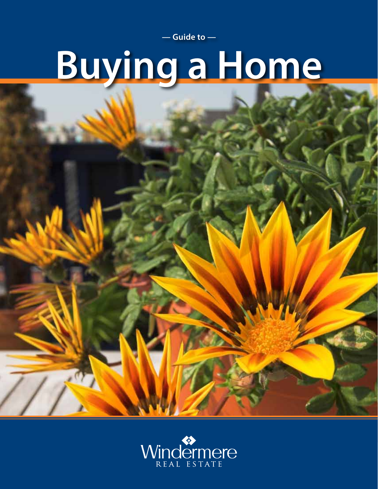**— Guide to —**

# **Buying a Home**

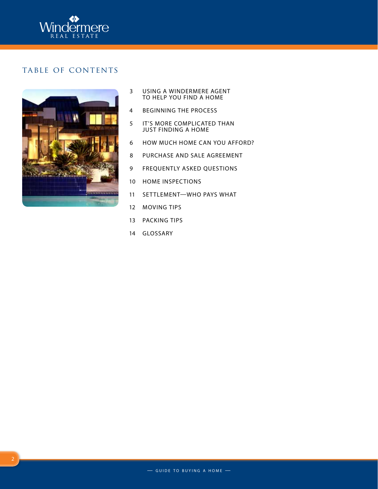

## TABLE OF CONTENTS



- 3 Using a Windermere agent to help you FInd a home
- 4 Beginning the process
- 5 It's more complicated than just FInding a home
- 6 How much home can you afford?
- 8 Purchase and sale agreement
- 9 Frequently asked questions
- 10 Home inspections
- 11 SETTLEMENT-WHO PAYS WHAT
- 12 Moving tips
- 13 PACKING TIPS
- 14 Glossary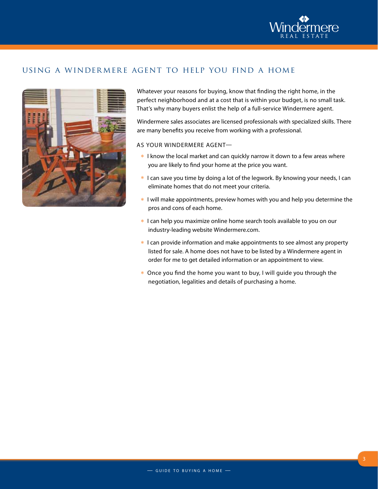

## using a windermere agent to help you find a home



Whatever your reasons for buying, know that finding the right home, in the perfect neighborhood and at a cost that is within your budget, is no small task. That's why many buyers enlist the help of a full-service Windermere agent.

Windermere sales associates are licensed professionals with specialized skills. There are many benefits you receive from working with a professional.

As your Windermere agent—

- \* I know the local market and can quickly narrow it down to a few areas where you are likely to find your home at the price you want.
- \* I can save you time by doing a lot of the legwork. By knowing your needs, I can eliminate homes that do not meet your criteria.
- \* I will make appointments, preview homes with you and help you determine the pros and cons of each home.
- \* I can help you maximize online home search tools available to you on our industry-leading website Windermere.com.
- \* I can provide information and make appointments to see almost any property listed for sale. A home does not have to be listed by a Windermere agent in order for me to get detailed information or an appointment to view.
- \* Once you find the home you want to buy, I will guide you through the negotiation, legalities and details of purchasing a home.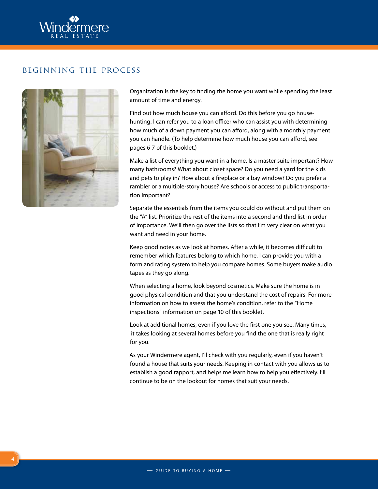

### beginning the process



Organization is the key to finding the home you want while spending the least amount of time and energy.

Find out how much house you can afford. Do this before you go househunting. I can refer you to a loan officer who can assist you with determining how much of a down payment you can afford, along with a monthly payment you can handle. (To help determine how much house you can afford, see pages 6-7 of this booklet.)

Make a list of everything you want in a home. Is a master suite important? How many bathrooms? What about closet space? Do you need a yard for the kids and pets to play in? How about a fireplace or a bay window? Do you prefer a rambler or a multiple-story house? Are schools or access to public transportation important?

Separate the essentials from the items you could do without and put them on the "A" list. Prioritize the rest of the items into a second and third list in order of importance. We'll then go over the lists so that I'm very clear on what you want and need in your home.

Keep good notes as we look at homes. After a while, it becomes difficult to remember which features belong to which home. I can provide you with a form and rating system to help you compare homes. Some buyers make audio tapes as they go along.

When selecting a home, look beyond cosmetics. Make sure the home is in good physical condition and that you understand the cost of repairs. For more information on how to assess the home's condition, refer to the "Home inspections" information on page 10 of this booklet.

Look at additional homes, even if you love the first one you see. Many times, it takes looking at several homes before you find the one that is really right for you.

As your Windermere agent, I'll check with you regularly, even if you haven't found a house that suits your needs. Keeping in contact with you allows us to establish a good rapport, and helps me learn how to help you effectively. I'll continue to be on the lookout for homes that suit your needs.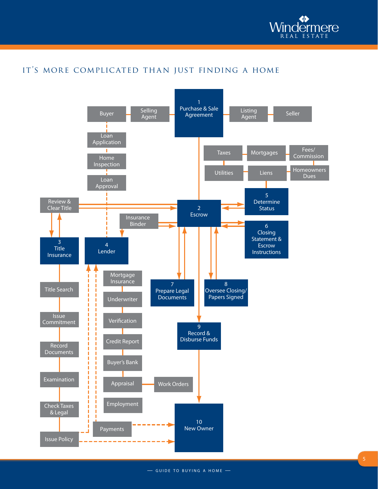

# it's more complicated than just finding a home

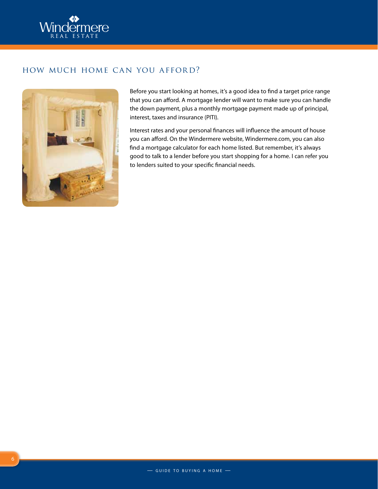

## how much home can you afford?



Before you start looking at homes, it's a good idea to find a target price range that you can afford. A mortgage lender will want to make sure you can handle the down payment, plus a monthly mortgage payment made up of principal, interest, taxes and insurance (PITI).

Interest rates and your personal finances will influence the amount of house you can afford. On the Windermere website, Windermere.com, you can also find a mortgage calculator for each home listed. But remember, it's always good to talk to a lender before you start shopping for a home. I can refer you to lenders suited to your specific financial needs.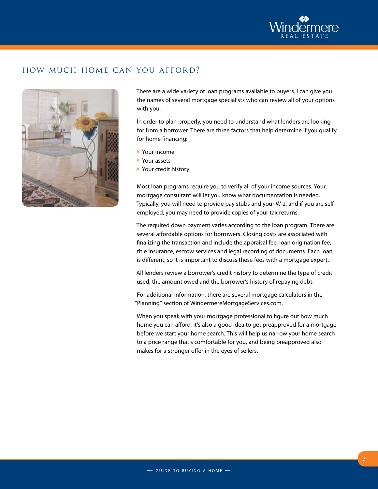

## how much home can you afford?



There are a wide variety of loan programs available to buyers. I can give you the names of several mortgage specialists who can review all of your options with you.

In order to plan properly, you need to understand what lenders are looking for from a borrower. There are three factors that help determine if you qualify for home financing:

- \* Your income
- <sup>E</sup> Your assets
- \* Your credit history

Most loan programs require you to verify all of your income sources. Your mortgage consultant will let you know what documentation is needed. Typically, you will need to provide pay stubs and your W-2, and if you are selfemployed, you may need to provide copies of your tax returns.

The required down payment varies according to the loan program. There are several affordable options for borrowers. Closing costs are associated with finalizing the transaction and include the appraisal fee, loan origination fee, title insurance, escrow services and legal recording of documents. Each loan is different, so it is important to discuss these fees with a mortgage expert.

All lenders review a borrower's credit history to determine the type of credit used, the amount owed and the borrower's history of repaying debt.

For additional information, there are several mortgage calculators in the "Planning" section of WindermereMortgageServices.com.

When you speak with your mortgage professional to figure out how much home you can afford, it's also a good idea to get preapproved for a mortgage before we start your home search. This will help us narrow your home search to a price range that's comfortable for you, and being preapproved also makes for a stronger offer in the eyes of sellers.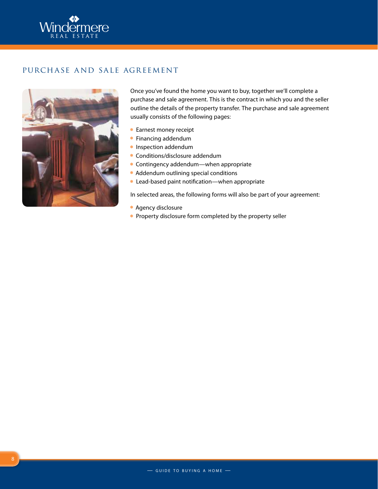

## purchase and sale agreement



Once you've found the home you want to buy, together we'll complete a purchase and sale agreement. This is the contract in which you and the seller outline the details of the property transfer. The purchase and sale agreement usually consists of the following pages:

- \* Earnest money receipt
- **\*** Financing addendum
- **\*** Inspection addendum
- \* Conditions/disclosure addendum
- $\triangleq$  Contingency addendum—when appropriate
- \* Addendum outlining special conditions
- <sup>E</sup> Lead-based paint notification—when appropriate

In selected areas, the following forms will also be part of your agreement:

- \* Agency disclosure
- **\*** Property disclosure form completed by the property seller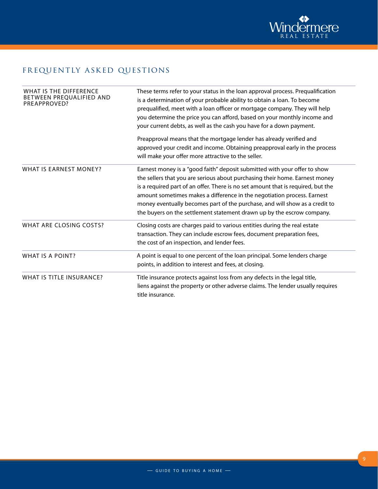

# frequently asked questions

| WHAT IS THE DIFFERENCE<br>BETWEEN PREQUALIFIED AND<br>PREAPPROVED? | These terms refer to your status in the loan approval process. Prequalification<br>is a determination of your probable ability to obtain a loan. To become<br>prequalified, meet with a loan officer or mortgage company. They will help<br>you determine the price you can afford, based on your monthly income and<br>your current debts, as well as the cash you have for a down payment.                                                                                     |  |
|--------------------------------------------------------------------|----------------------------------------------------------------------------------------------------------------------------------------------------------------------------------------------------------------------------------------------------------------------------------------------------------------------------------------------------------------------------------------------------------------------------------------------------------------------------------|--|
|                                                                    | Preapproval means that the mortgage lender has already verified and<br>approved your credit and income. Obtaining preapproval early in the process<br>will make your offer more attractive to the seller.                                                                                                                                                                                                                                                                        |  |
| WHAT IS EARNEST MONEY?                                             | Earnest money is a "good faith" deposit submitted with your offer to show<br>the sellers that you are serious about purchasing their home. Earnest money<br>is a required part of an offer. There is no set amount that is required, but the<br>amount sometimes makes a difference in the negotiation process. Earnest<br>money eventually becomes part of the purchase, and will show as a credit to<br>the buyers on the settlement statement drawn up by the escrow company. |  |
| WHAT ARE CLOSING COSTS?                                            | Closing costs are charges paid to various entities during the real estate<br>transaction. They can include escrow fees, document preparation fees,<br>the cost of an inspection, and lender fees.                                                                                                                                                                                                                                                                                |  |
| WHAT IS A POINT?                                                   | A point is equal to one percent of the loan principal. Some lenders charge<br>points, in addition to interest and fees, at closing.                                                                                                                                                                                                                                                                                                                                              |  |
| WHAT IS TITLE INSURANCE?                                           | Title insurance protects against loss from any defects in the legal title,<br>liens against the property or other adverse claims. The lender usually requires<br>title insurance.                                                                                                                                                                                                                                                                                                |  |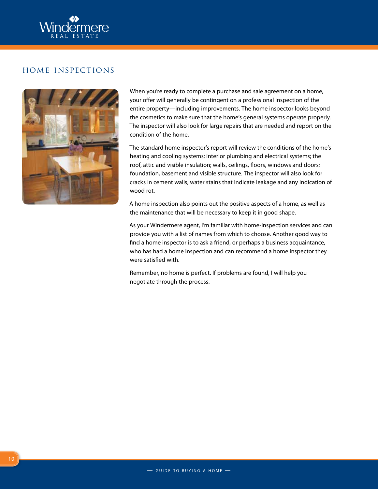

#### home inspections



When you're ready to complete a purchase and sale agreement on a home, your offer will generally be contingent on a professional inspection of the entire property—including improvements. The home inspector looks beyond the cosmetics to make sure that the home's general systems operate properly. The inspector will also look for large repairs that are needed and report on the condition of the home.

The standard home inspector's report will review the conditions of the home's heating and cooling systems; interior plumbing and electrical systems; the roof, attic and visible insulation; walls, ceilings, floors, windows and doors; foundation, basement and visible structure. The inspector will also look for cracks in cement walls, water stains that indicate leakage and any indication of wood rot.

A home inspection also points out the positive aspects of a home, as well as the maintenance that will be necessary to keep it in good shape.

As your Windermere agent, I'm familiar with home-inspection services and can provide you with a list of names from which to choose. Another good way to find a home inspector is to ask a friend, or perhaps a business acquaintance, who has had a home inspection and can recommend a home inspector they were satisfied with.

Remember, no home is perfect. If problems are found, I will help you negotiate through the process.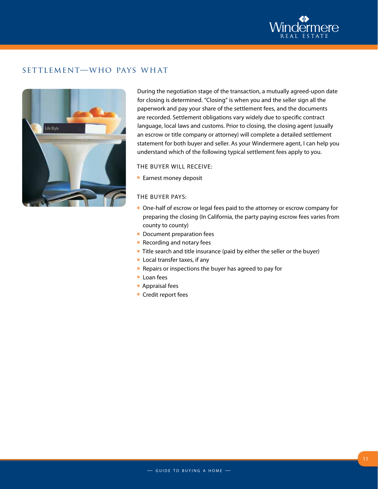

## settlement—who pays what



During the negotiation stage of the transaction, a mutually agreed-upon date for closing is determined. "Closing" is when you and the seller sign all the paperwork and pay your share of the settlement fees, and the documents are recorded. Settlement obligations vary widely due to specific contract language, local laws and customs. Prior to closing, the closing agent (usually an escrow or title company or attorney) will complete a detailed settlement statement for both buyer and seller. As your Windermere agent, I can help you understand which of the following typical settlement fees apply to you.

#### The buyer will receive:

\* Earnest money deposit

#### The buyer pays:

- \* One-half of escrow or legal fees paid to the attorney or escrow company for preparing the closing (In California, the party paying escrow fees varies from county to county)
- \* Document preparation fees
- **\*** Recording and notary fees
- Title search and title insurance (paid by either the seller or the buyer)
- \* Local transfer taxes, if any
- **\*** Repairs or inspections the buyer has agreed to pay for
- \* Loan fees
- \* Appraisal fees
- \* Credit report fees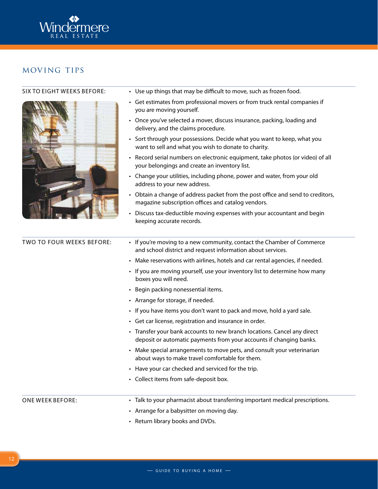

## moving tips

#### Six to eight weeks before:



- Use up things that may be difficult to move, such as frozen food.
- Get estimates from professional movers or from truck rental companies if you are moving yourself.
- Once you've selected a mover, discuss insurance, packing, loading and delivery, and the claims procedure.
- Sort through your possessions. Decide what you want to keep, what you want to sell and what you wish to donate to charity.
- Record serial numbers on electronic equipment, take photos (or video) of all your belongings and create an inventory list.
- Change your utilities, including phone, power and water, from your old address to your new address.
- Obtain a change of address packet from the post office and send to creditors, magazine subscription offices and catalog vendors.
- Discuss tax-deductible moving expenses with your accountant and begin keeping accurate records.

| <b>TWO TO FOUR WEEKS BEFORE:</b> | • If you're moving to a new community, contact the Chamber of Commerce<br>and school district and request information about services.                                                |  |  |  |
|----------------------------------|--------------------------------------------------------------------------------------------------------------------------------------------------------------------------------------|--|--|--|
|                                  | • Make reservations with airlines, hotels and car rental agencies, if needed.<br>• If you are moving yourself, use your inventory list to determine how many<br>boxes you will need. |  |  |  |
|                                  |                                                                                                                                                                                      |  |  |  |
|                                  | • Begin packing nonessential items.                                                                                                                                                  |  |  |  |
|                                  | • Arrange for storage, if needed.                                                                                                                                                    |  |  |  |
|                                  | • If you have items you don't want to pack and move, hold a yard sale.                                                                                                               |  |  |  |
|                                  | • Get car license, registration and insurance in order.                                                                                                                              |  |  |  |
|                                  | • Transfer your bank accounts to new branch locations. Cancel any direct<br>deposit or automatic payments from your accounts if changing banks.                                      |  |  |  |
|                                  | Make special arrangements to move pets, and consult your veterinarian<br>$\bullet$<br>about ways to make travel comfortable for them.                                                |  |  |  |
|                                  | • Have your car checked and serviced for the trip.                                                                                                                                   |  |  |  |
|                                  | • Collect items from safe-deposit box.                                                                                                                                               |  |  |  |
|                                  |                                                                                                                                                                                      |  |  |  |
| <b>ONE WEEK BEFORE:</b>          | • Talk to your pharmacist about transferring important medical prescriptions.                                                                                                        |  |  |  |
|                                  | • Arrange for a babysitter on moving day.                                                                                                                                            |  |  |  |

• Return library books and DVDs.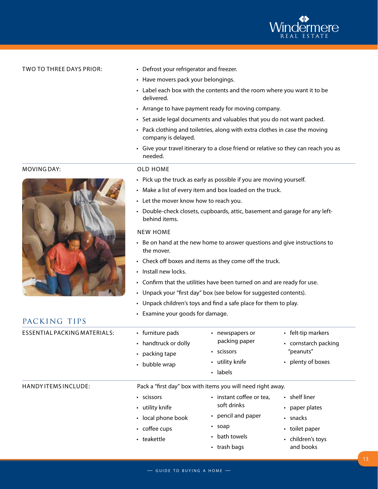

#### Two to three days prior:

- Defrost your refrigerator and freezer.
- Have movers pack your belongings.
- Label each box with the contents and the room where you want it to be delivered.
- Arrange to have payment ready for moving company.
- Set aside legal documents and valuables that you do not want packed.
- Pack clothing and toiletries, along with extra clothes in case the moving company is delayed.
- Give your travel itinerary to a close friend or relative so they can reach you as needed.

#### Old home

- Pick up the truck as early as possible if you are moving yourself.
- Make a list of every item and box loaded on the truck.
- Let the mover know how to reach you.
- Double-check closets, cupboards, attic, basement and garage for any leftbehind items.

#### New home

- Be on hand at the new home to answer questions and give instructions to the mover.
- • Check off boxes and items as they come off the truck.
- • Install new locks.
- Confirm that the utilities have been turned on and are ready for use.
- Unpack your "first day" box (see below for suggested contents).
- Unpack children's toys and find a safe place for them to play.
- • Examine your goods for damage.

| ESSENTIAL PACKING MATERIALS: | • furniture pads<br>• handtruck or dolly<br>$\cdot$ packing tape<br>• bubble wrap         | newspapers or<br>٠<br>packing paper<br>• scissors<br>• utility knife<br>• labels                               | • felt-tip markers<br>• cornstarch packing<br>"peanuts"<br>• plenty of boxes                                |
|------------------------------|-------------------------------------------------------------------------------------------|----------------------------------------------------------------------------------------------------------------|-------------------------------------------------------------------------------------------------------------|
| HANDY ITEMS INCLUDE:         | Pack a "first day" box with items you will need right away.                               |                                                                                                                |                                                                                                             |
|                              | • scissors<br>• utility knife<br>• local phone book<br>$\cdot$ coffee cups<br>• teakettle | • instant coffee or tea,<br>soft drinks<br>• pencil and paper<br>$\cdot$ soap<br>• bath towels<br>• trash bags | $\cdot$ shelf liner<br>• paper plates<br>$\cdot$ snacks<br>• toilet paper<br>• children's toys<br>and books |

#### Moving day:



packing tips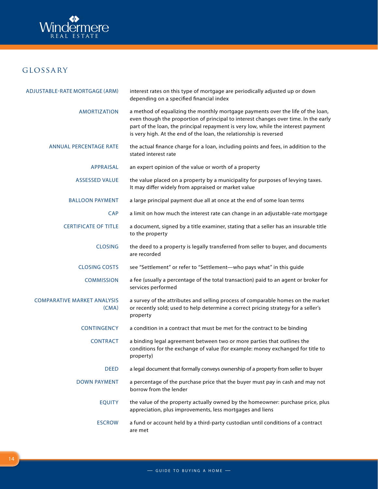

# glossary

| ADJUSTABLE-RATE MORTGAGE (ARM)              | interest rates on this type of mortgage are periodically adjusted up or down<br>depending on a specified financial index                                                                                                                                                                                                          |  |  |
|---------------------------------------------|-----------------------------------------------------------------------------------------------------------------------------------------------------------------------------------------------------------------------------------------------------------------------------------------------------------------------------------|--|--|
| <b>AMORTIZATION</b>                         | a method of equalizing the monthly mortgage payments over the life of the loan,<br>even though the proportion of principal to interest changes over time. In the early<br>part of the loan, the principal repayment is very low, while the interest payment<br>is very high. At the end of the loan, the relationship is reversed |  |  |
| <b>ANNUAL PERCENTAGE RATE</b>               | the actual finance charge for a loan, including points and fees, in addition to the<br>stated interest rate                                                                                                                                                                                                                       |  |  |
| <b>APPRAISAL</b>                            | an expert opinion of the value or worth of a property                                                                                                                                                                                                                                                                             |  |  |
| <b>ASSESSED VALUE</b>                       | the value placed on a property by a municipality for purposes of levying taxes.<br>It may differ widely from appraised or market value                                                                                                                                                                                            |  |  |
| <b>BALLOON PAYMENT</b>                      | a large principal payment due all at once at the end of some loan terms                                                                                                                                                                                                                                                           |  |  |
| <b>CAP</b>                                  | a limit on how much the interest rate can change in an adjustable-rate mortgage                                                                                                                                                                                                                                                   |  |  |
| <b>CERTIFICATE OF TITLE</b>                 | a document, signed by a title examiner, stating that a seller has an insurable title<br>to the property                                                                                                                                                                                                                           |  |  |
| <b>CLOSING</b>                              | the deed to a property is legally transferred from seller to buyer, and documents<br>are recorded                                                                                                                                                                                                                                 |  |  |
| <b>CLOSING COSTS</b>                        | see "Settlement" or refer to "Settlement-who pays what" in this guide                                                                                                                                                                                                                                                             |  |  |
| <b>COMMISSION</b>                           | a fee (usually a percentage of the total transaction) paid to an agent or broker for<br>services performed                                                                                                                                                                                                                        |  |  |
| <b>COMPARATIVE MARKET ANALYSIS</b><br>(CMA) | a survey of the attributes and selling process of comparable homes on the market<br>or recently sold; used to help determine a correct pricing strategy for a seller's<br>property                                                                                                                                                |  |  |
| <b>CONTINGENCY</b>                          | a condition in a contract that must be met for the contract to be binding                                                                                                                                                                                                                                                         |  |  |
| <b>CONTRACT</b>                             | a binding legal agreement between two or more parties that outlines the<br>conditions for the exchange of value (for example: money exchanged for title to<br>property)                                                                                                                                                           |  |  |
| <b>DEED</b>                                 | a legal document that formally conveys ownership of a property from seller to buyer                                                                                                                                                                                                                                               |  |  |
| <b>DOWN PAYMENT</b>                         | a percentage of the purchase price that the buyer must pay in cash and may not<br>borrow from the lender                                                                                                                                                                                                                          |  |  |
| <b>EQUITY</b>                               | the value of the property actually owned by the homeowner: purchase price, plus<br>appreciation, plus improvements, less mortgages and liens                                                                                                                                                                                      |  |  |
| <b>ESCROW</b>                               | a fund or account held by a third-party custodian until conditions of a contract<br>are met                                                                                                                                                                                                                                       |  |  |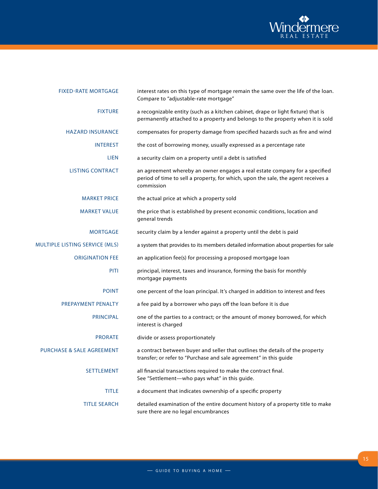

| <b>FIXED-RATE MORTGAGE</b>           | interest rates on this type of mortgage remain the same over the life of the loan.<br>Compare to "adjustable-rate mortgage"                                                    |
|--------------------------------------|--------------------------------------------------------------------------------------------------------------------------------------------------------------------------------|
| <b>FIXTURE</b>                       | a recognizable entity (such as a kitchen cabinet, drape or light fixture) that is<br>permanently attached to a property and belongs to the property when it is sold            |
| <b>HAZARD INSURANCE</b>              | compensates for property damage from specified hazards such as fire and wind                                                                                                   |
| <b>INTEREST</b>                      | the cost of borrowing money, usually expressed as a percentage rate                                                                                                            |
| <b>LIEN</b>                          | a security claim on a property until a debt is satisfied                                                                                                                       |
| <b>LISTING CONTRACT</b>              | an agreement whereby an owner engages a real estate company for a specified<br>period of time to sell a property, for which, upon the sale, the agent receives a<br>commission |
| <b>MARKET PRICE</b>                  | the actual price at which a property sold                                                                                                                                      |
| <b>MARKET VALUE</b>                  | the price that is established by present economic conditions, location and<br>general trends                                                                                   |
| <b>MORTGAGE</b>                      | security claim by a lender against a property until the debt is paid                                                                                                           |
| MULTIPLE LISTING SERVICE (MLS)       | a system that provides to its members detailed information about properties for sale                                                                                           |
| <b>ORIGINATION FEE</b>               | an application fee(s) for processing a proposed mortgage loan                                                                                                                  |
| PITI                                 | principal, interest, taxes and insurance, forming the basis for monthly<br>mortgage payments                                                                                   |
| <b>POINT</b>                         | one percent of the loan principal. It's charged in addition to interest and fees                                                                                               |
| PREPAYMENT PENALTY                   | a fee paid by a borrower who pays off the loan before it is due                                                                                                                |
| <b>PRINCIPAL</b>                     | one of the parties to a contract; or the amount of money borrowed, for which<br>interest is charged                                                                            |
| <b>PRORATE</b>                       | divide or assess proportionately                                                                                                                                               |
| <b>PURCHASE &amp; SALE AGREEMENT</b> | a contract between buyer and seller that outlines the details of the property<br>transfer; or refer to "Purchase and sale agreement" in this guide                             |
| <b>SETTLEMENT</b>                    | all financial transactions required to make the contract final.<br>See "Settlement-who pays what" in this guide.                                                               |
| <b>TITLE</b>                         | a document that indicates ownership of a specific property                                                                                                                     |
| <b>TITLE SEARCH</b>                  | detailed examination of the entire document history of a property title to make<br>sure there are no legal encumbrances                                                        |